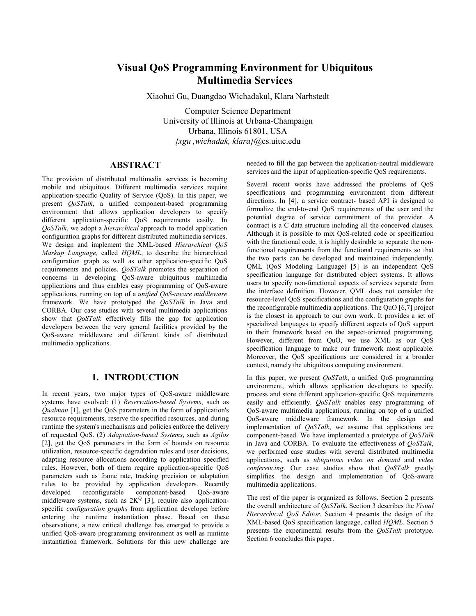# **Visual QoS Programming Environment for Ubiquitous Multimedia Services**

Xiaohui Gu, Duangdao Wichadakul, Klara Narhstedt

Computer Science Department University of Illinois at Urbana-Champaign Urbana, Illinois 61801, USA *{xgu ,wichadak, klara}*@cs.uiuc.edu

### **ABSTRACT**

The provision of distributed multimedia services is becoming mobile and ubiquitous. Different multimedia services require application-specific Quality of Service (QoS). In this paper, we present *QoSTalk*, a unified component-based programming environment that allows application developers to specify different application-specific QoS requirements easily. In *QoSTalk*, we adopt a *hierarchical* approach to model application configuration graphs for different distributed multimedia services. We design and implement the XML-based *Hierarchical QoS Markup Language,* called *HQML*, to describe the hierarchical configuration graph as well as other application-specific QoS requirements and policies. *QoSTalk* promotes the separation of concerns in developing QoS-aware ubiquitous multimedia applications and thus enables easy programming of QoS-aware applications, running on top of a *unified QoS-aware middleware* framework. We have prototyped the *QoSTalk* in Java and CORBA. Our case studies with several multimedia applications show that *QoSTalk* effectively fills the gap for application developers between the very general facilities provided by the QoS-aware middleware and different kinds of distributed multimedia applications.

## **1. INTRODUCTION**

In recent years, two major types of QoS-aware middleware systems have evolved: (1) *Reservation-based Systems*, such as *Qualman* [1], get the QoS parameters in the form of application's resource requirements, reserve the specified resources, and during runtime the system's mechanisms and policies enforce the delivery of requested QoS. (2) *Adaptation-based Systems*, such as *Agilos* [2], get the QoS parameters in the form of bounds on resource utilization, resource-specific degradation rules and user decisions, adapting resource allocations according to application specified rules. However, both of them require application-specific QoS parameters such as frame rate, tracking precision or adaptation rules to be provided by application developers. Recently developed reconfigurable component-based QoS-aware middleware systems, such as  $2K^Q$  [3], require also applicationspecific *configuration graphs* from application developer before entering the runtime instantiation phase. Based on these observations, a new critical challenge has emerged to provide a unified QoS-aware programming environment as well as runtime instantiation framework. Solutions for this new challenge are needed to fill the gap between the application-neutral middleware services and the input of application-specific QoS requirements.

Several recent works have addressed the problems of QoS specifications and programming environment from different directions. In [4], a service contract- based API is designed to formalize the end-to-end QoS requirements of the user and the potential degree of service commitment of the provider. A contract is a C data structure including all the conceived clauses. Although it is possible to mix QoS-related code or specification with the functional code, it is highly desirable to separate the nonfunctional requirements from the functional requirements so that the two parts can be developed and maintained independently. QML (QoS Modeling Language) [5] is an independent QoS specification language for distributed object systems. It allows users to specify non-functional aspects of services separate from the interface definition. However, QML does not consider the resource-level QoS specifications and the configuration graphs for the reconfigurable multimedia applications. The QuO [6,7] project is the closest in approach to our own work. It provides a set of specialized languages to specify different aspects of QoS support in their framework based on the aspect-oriented programming. However, different from OuO, we use XML as our OoS specification language to make our framework most applicable. Moreover, the QoS specifications are considered in a broader context, namely the ubiquitous computing environment.

In this paper, we present *QoSTalk*, a unified QoS programming environment, which allows application developers to specify, process and store different application-specific QoS requirements easily and efficiently. *QoSTalk* enables easy programming of QoS-aware multimedia applications, running on top of a unified QoS-aware middleware framework. In the design and implementation of *QoSTalk*, we assume that applications are component-based. We have implemented a prototype of *QoSTalk*  in Java and CORBA. To evaluate the effectiveness of *QoSTalk*, we performed case studies with several distributed multimedia applications, such as *ubiquitous video on demand* and *video conferencing*. Our case studies show that *QoSTalk* greatly simplifies the design and implementation of QoS-aware multimedia applications.

The rest of the paper is organized as follows. Section 2 presents the overall architecture of *QoSTalk*. Section 3 describes the *Visual Hierarchical QoS Editor*. Section 4 presents the design of the XML-based QoS specification language, called *HQML*. Section 5 presents the experimental results from the *QoSTalk* prototype. Section 6 concludes this paper.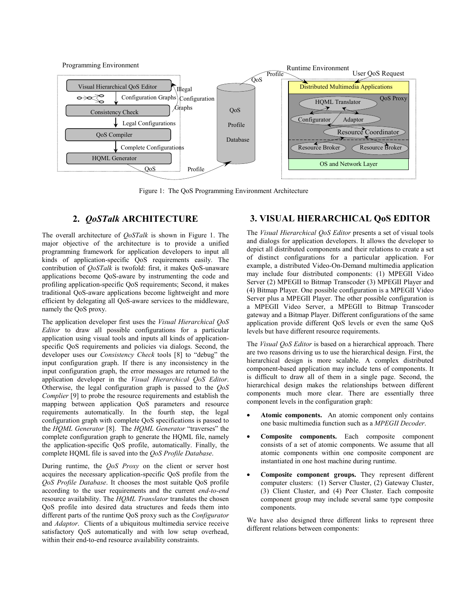

Figure 1: The QoS Programming Environment Architecture

## **2.** *QoSTalk* **ARCHITECTURE**

The overall architecture of *QoSTalk* is shown in Figure 1. The major objective of the architecture is to provide a unified programming framework for application developers to input all kinds of application-specific QoS requirements easily. The contribution of *QoSTalk* is twofold: first, it makes QoS-unaware applications become QoS-aware by instrumenting the code and profiling application-specific QoS requirements; Second, it makes traditional QoS-aware applications become lightweight and more efficient by delegating all QoS-aware services to the middleware, namely the QoS proxy.

The application developer first uses the *Visual Hierarchical QoS Editor* to draw all possible configurations for a particular application using visual tools and inputs all kinds of applicationspecific QoS requirements and policies via dialogs. Second, the developer uses our *Consistency Check* tools [8] to "debug" the input configuration graph. If there is any inconsistency in the input configuration graph, the error messages are returned to the application developer in the *Visual Hierarchical QoS Editor*. Otherwise, the legal configuration graph is passed to the *QoS Complier* [9] to probe the resource requirements and establish the mapping between application QoS parameters and resource requirements automatically. In the fourth step, the legal configuration graph with complete QoS specifications is passed to the *HQML Generator* [8]. The *HQML Generator* "traverses" the complete configuration graph to generate the HQML file, namely the application-specific QoS profile, automatically. Finally, the complete HQML file is saved into the *QoS Profile Database*.

During runtime, the *QoS Proxy* on the client or server host acquires the necessary application-specific QoS profile from the *QoS Profile Database*. It chooses the most suitable QoS profile according to the user requirements and the current *end-to-end* resource availability. The *HQML Translator* translates the chosen QoS profile into desired data structures and feeds them into different parts of the runtime QoS proxy such as the *Configurator* and *Adaptor*. Clients of a ubiquitous multimedia service receive satisfactory QoS automatically and with low setup overhead, within their end-to-end resource availability constraints.

## **3. VISUAL HIERARCHICAL QoS EDITOR**

The *Visual Hierarchical QoS Editor* presents a set of visual tools and dialogs for application developers. It allows the developer to depict all distributed components and their relations to create a set of distinct configurations for a particular application. For example, a distributed Video-On-Demand multimedia application may include four distributed components: (1) MPEGII Video Server (2) MPEGII to Bitmap Transcoder (3) MPEGII Player and (4) Bitmap Player. One possible configuration is a MPEGII Video Server plus a MPEGII Player. The other possible configuration is a MPEGII Video Server, a MPEGII to Bitmap Transcoder gateway and a Bitmap Player. Different configurations of the same application provide different QoS levels or even the same QoS levels but have different resource requirements.

The *Visual QoS Editor* is based on a hierarchical approach. There are two reasons driving us to use the hierarchical design. First, the hierarchical design is more scalable. A complex distributed component-based application may include tens of components. It is difficult to draw all of them in a single page. Second, the hierarchical design makes the relationships between different components much more clear. There are essentially three component levels in the configuration graph:

- Atomic components. An atomic component only contains one basic multimedia function such as a *MPEGII Decoder*.
- **Composite components.** Each composite component consists of a set of atomic components. We assume that all atomic components within one composite component are instantiated in one host machine during runtime.
- **Composite component groups.** They represent different computer clusters: (1) Server Cluster, (2) Gateway Cluster, (3) Client Cluster, and (4) Peer Cluster. Each composite component group may include several same type composite components.

We have also designed three different links to represent three different relations between components: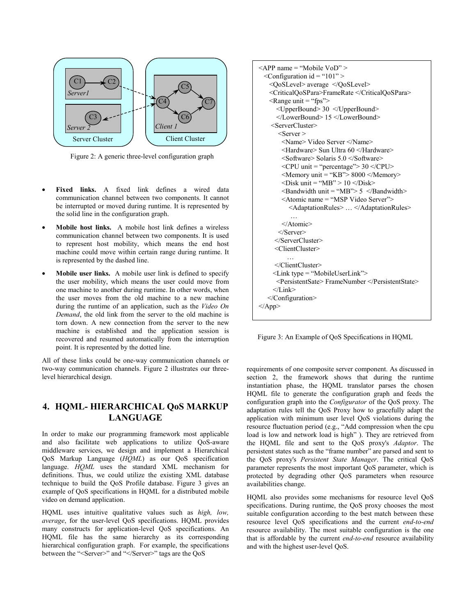

Figure 2: A generic three-level configuration graph

- **Fixed links.** A fixed link defines a wired data communication channel between two components. It cannot be interrupted or moved during runtime. It is represented by the solid line in the configuration graph.
- **Mobile host links.** A mobile host link defines a wireless communication channel between two components. It is used to represent host mobility, which means the end host machine could move within certain range during runtime. It is represented by the dashed line.
- **Mobile user links.** A mobile user link is defined to specify the user mobility, which means the user could move from one machine to another during runtime. In other words, when the user moves from the old machine to a new machine during the runtime of an application, such as the *Video On Demand*, the old link from the server to the old machine is torn down. A new connection from the server to the new machine is established and the application session is recovered and resumed automatically from the interruption point. It is represented by the dotted line.

All of these links could be one-way communication channels or two-way communication channels. Figure 2 illustrates our threelevel hierarchical design.

# **4. HQML- HIERARCHICAL QoS MARKUP LANGUAGE**

In order to make our programming framework most applicable and also facilitate web applications to utilize QoS-aware middleware services, we design and implement a Hierarchical QoS Markup Language (*HQML*) as our QoS specification language. *HQML* uses the standard XML mechanism for definitions. Thus, we could utilize the existing XML database technique to build the QoS Profile database. Figure 3 gives an example of QoS specifications in HQML for a distributed mobile video on demand application.

HQML uses intuitive qualitative values such as *high, low, average*, for the user-level QoS specifications. HQML provides many constructs for application-level QoS specifications. An HQML file has the same hierarchy as its corresponding hierarchical configuration graph. For example, the specifications between the "<Server>" and "</Server>" tags are the QoS

```
\leAPP name = "Mobile VoD" >
  \leqConfiguration id = "101" >
    <QoSLevel> average </QoSLevel> 
    <CriticalQoSPara>FrameRate </CriticalQoSPara> 
   \leqRange unit = "fps">
       <UpperBound> 30 </UpperBound> 
       </LowerBound> 15 </LowerBound> 
     <ServerCluster> 
       <Server > <Name> Video Server </Name> 
         <Hardware> Sun Ultra 60 </Hardware> 
         <Software> Solaris 5.0 </Software> 
        \langle CPU \text{ unit} = \text{``percentage''} > 30 \langle CPU \rangle\leqMemory unit = "KB"> 8000 \leq/Memory>
        \langleDisk unit = "MB" > 10 \langleDisk>
        \leqBandwidth unit = "MB"> 5 \leq/Bandwidth>
         <Atomic name = "MSP Video Server"> 
            <AdaptationRules> … </AdaptationRules> 
            … 
         </Atomic> 
        </Server> 
      </ServerCluster> 
      <ClientCluster> 
 … 
      </ClientCluster> 
     \leqLink type = "MobileUserLink">
       <PersistentSate> FrameNumber </PersistentState> 
      </Link> 
    </Configuration> 
</App>
```
Figure 3: An Example of QoS Specifications in HQML

requirements of one composite server component. As discussed in section 2, the framework shows that during the runtime instantiation phase, the HQML translator parses the chosen HQML file to generate the configuration graph and feeds the configuration graph into the *Configurator* of the QoS proxy. The adaptation rules tell the QoS Proxy how to gracefully adapt the application with minimum user level QoS violations during the resource fluctuation period (e.g., "Add compression when the cpu load is low and network load is high" ). They are retrieved from the HQML file and sent to the QoS proxy's *Adaptor*. The persistent states such as the "frame number" are parsed and sent to the QoS proxy's *Persistent State Manager*. The critical QoS parameter represents the most important QoS parameter, which is protected by degrading other QoS parameters when resource availabilities change.

HQML also provides some mechanisms for resource level QoS specifications. During runtime, the QoS proxy chooses the most suitable configuration according to the best match between these resource level QoS specifications and the current *end-to-end* resource availability. The most suitable configuration is the one that is affordable by the current *end-to-end* resource availability and with the highest user-level QoS.